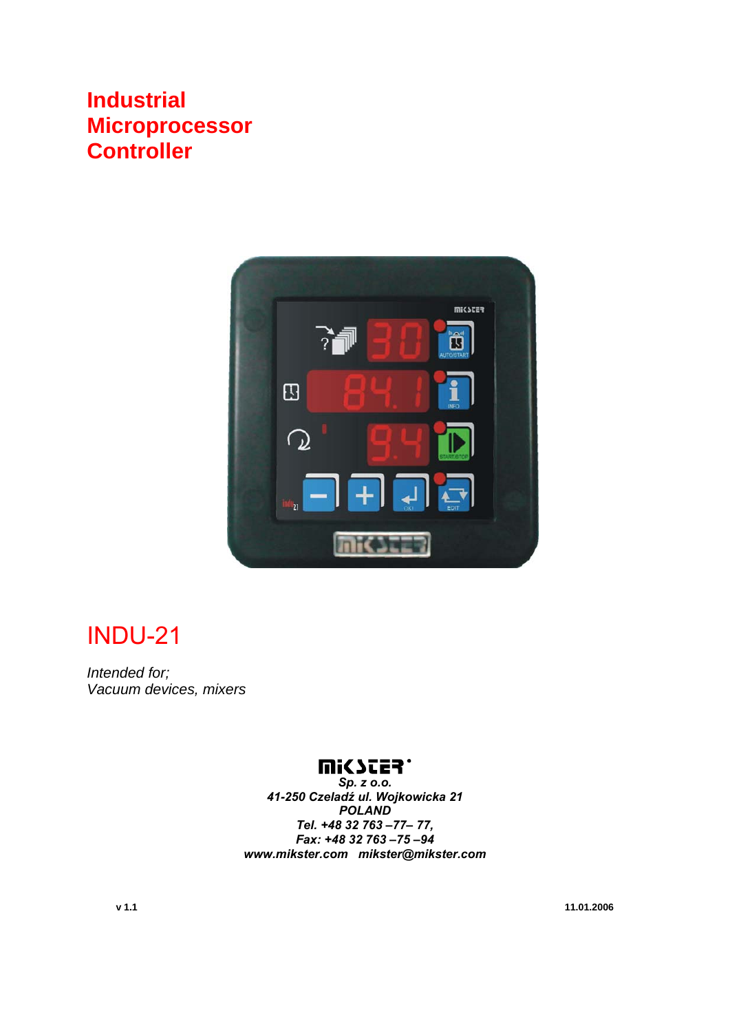## **Industrial Microprocessor Controller**



## INDU-21

*Intended for; Vacuum devices, mixers* 

## **WICYCES.**

*Sp. z o.o. 41-250 Czeladź ul. Wojkowicka 21 POLAND Tel. +48 32 763 –77– 77, Fax: +48 32 763 –75 –94 www.mikster.com mikster@mikster.com* 

**v 1.1 11.01.2006**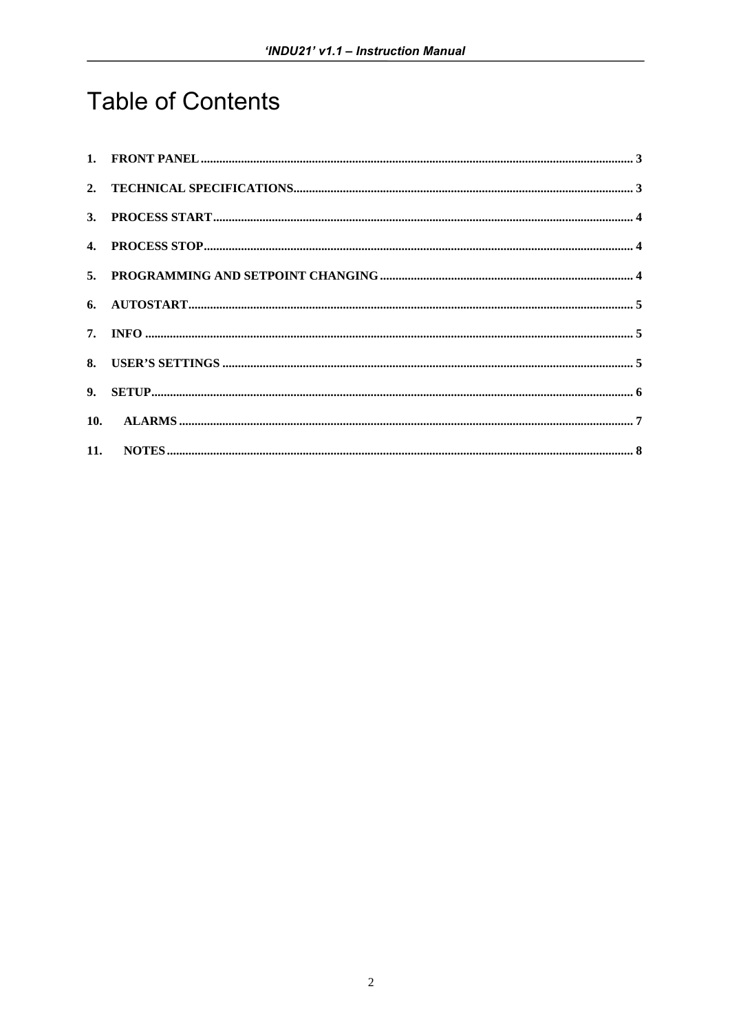# **Table of Contents**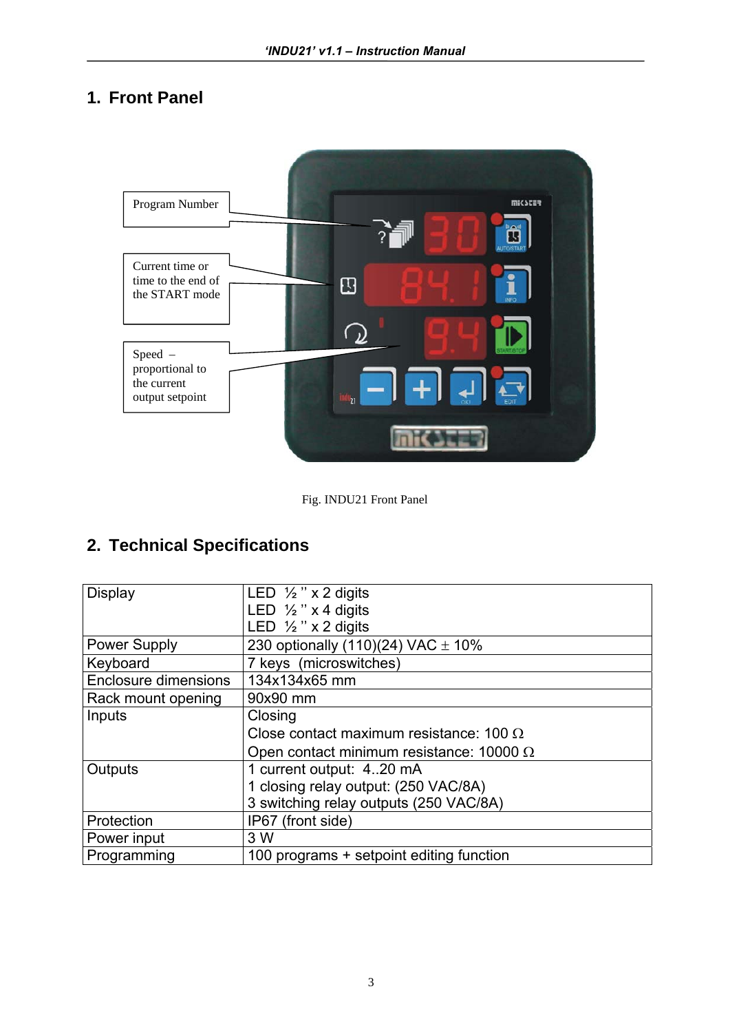## **1. Front Panel**



Fig. INDU21 Front Panel

## **2. Technical Specifications**

| <b>Display</b>              | LED $\frac{1}{2}$ " x 2 digits                  |  |  |
|-----------------------------|-------------------------------------------------|--|--|
|                             | LED $\frac{1}{2}$ " x 4 digits                  |  |  |
|                             | LED $\frac{1}{2}$ " x 2 digits                  |  |  |
| <b>Power Supply</b>         | 230 optionally (110)(24) VAC $\pm$ 10%          |  |  |
| Keyboard                    | 7 keys (microswitches)                          |  |  |
| <b>Enclosure dimensions</b> | 134x134x65 mm                                   |  |  |
| Rack mount opening          | 90x90 mm                                        |  |  |
| Inputs                      | Closing                                         |  |  |
|                             | Close contact maximum resistance: 100 $\Omega$  |  |  |
|                             | Open contact minimum resistance: 10000 $\Omega$ |  |  |
| Outputs                     | 1 current output: 420 mA                        |  |  |
|                             | 1 closing relay output: (250 VAC/8A)            |  |  |
|                             | 3 switching relay outputs (250 VAC/8A)          |  |  |
| Protection                  | IP67 (front side)                               |  |  |
| Power input                 | 3 W                                             |  |  |
| Programming                 | 100 programs + setpoint editing function        |  |  |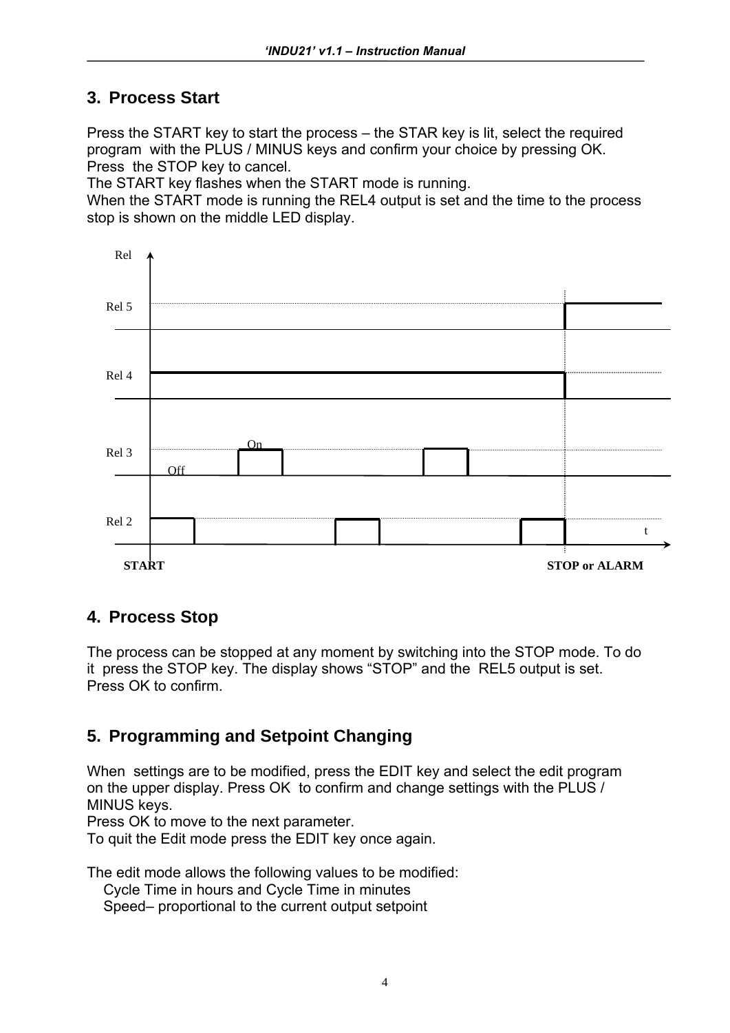#### **3. Process Start**

Press the START key to start the process – the STAR key is lit, select the required program with the PLUS / MINUS keys and confirm your choice by pressing OK. Press the STOP key to cancel.

The START key flashes when the START mode is running.

When the START mode is running the REL4 output is set and the time to the process stop is shown on the middle LED display.



#### **4. Process Stop**

The process can be stopped at any moment by switching into the STOP mode. To do it press the STOP key. The display shows "STOP" and the REL5 output is set. Press OK to confirm.

## **5. Programming and Setpoint Changing**

When settings are to be modified, press the EDIT key and select the edit program on the upper display. Press OK to confirm and change settings with the PLUS / MINUS keys.

Press OK to move to the next parameter.

To quit the Edit mode press the EDIT key once again.

The edit mode allows the following values to be modified:

Cycle Time in hours and Cycle Time in minutes

Speed– proportional to the current output setpoint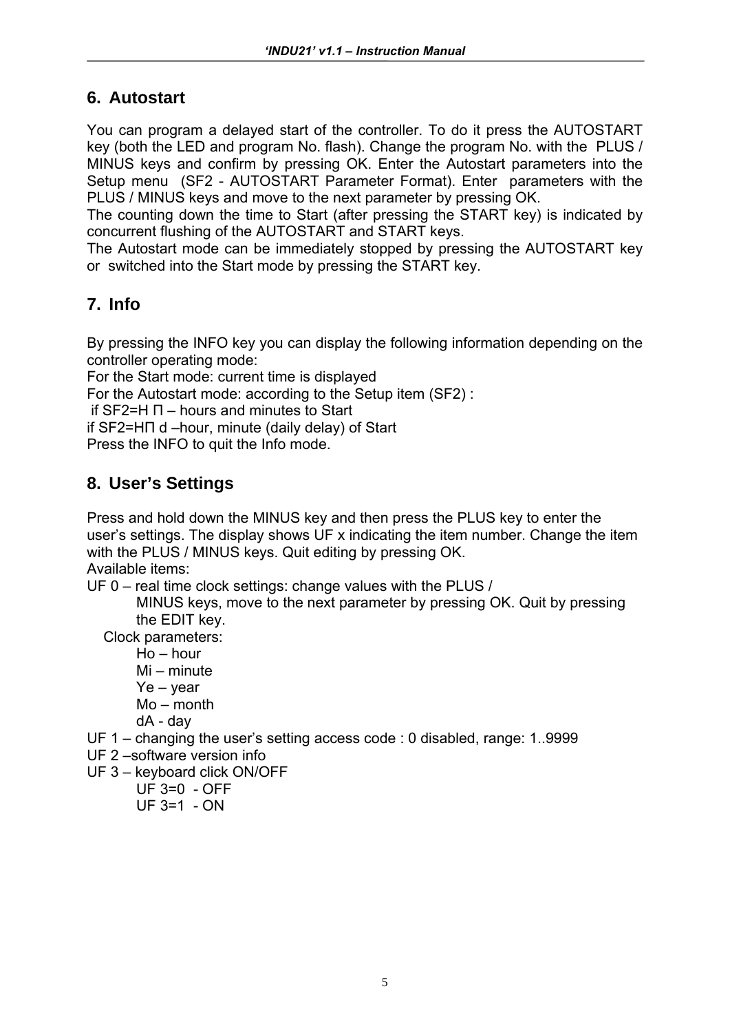#### **6. Autostart**

You can program a delayed start of the controller. To do it press the AUTOSTART key (both the LED and program No. flash). Change the program No. with the PLUS / MINUS keys and confirm by pressing OK. Enter the Autostart parameters into the Setup menu (SF2 - AUTOSTART Parameter Format). Enter parameters with the PLUS / MINUS keys and move to the next parameter by pressing OK.

The counting down the time to Start (after pressing the START key) is indicated by concurrent flushing of the AUTOSTART and START keys.

The Autostart mode can be immediately stopped by pressing the AUTOSTART key or switched into the Start mode by pressing the START key.

### **7. Info**

By pressing the INFO key you can display the following information depending on the controller operating mode:

For the Start mode: current time is displayed

For the Autostart mode: according to the Setup item (SF2) :

if SF2=H Π – hours and minutes to Start

if SF2=HΠ d –hour, minute (daily delay) of Start

Press the INFO to quit the Info mode.

### **8. User's Settings**

Press and hold down the MINUS key and then press the PLUS key to enter the user's settings. The display shows UF x indicating the item number. Change the item with the PLUS / MINUS keys. Quit editing by pressing OK. Available items:

UF 0 – real time clock settings: change values with the PLUS /

 MINUS keys, move to the next parameter by pressing OK. Quit by pressing the EDIT key.

Clock parameters:

Ho – hour

- Mi minute
- Ye year
- Mo month
- dA day
- UF 1 changing the user's setting access code : 0 disabled, range: 1..9999
- UF 2 –software version info
- UF 3 keyboard click ON/OFF
	- UF 3=0 OFF
	- $UF 3=1 ON$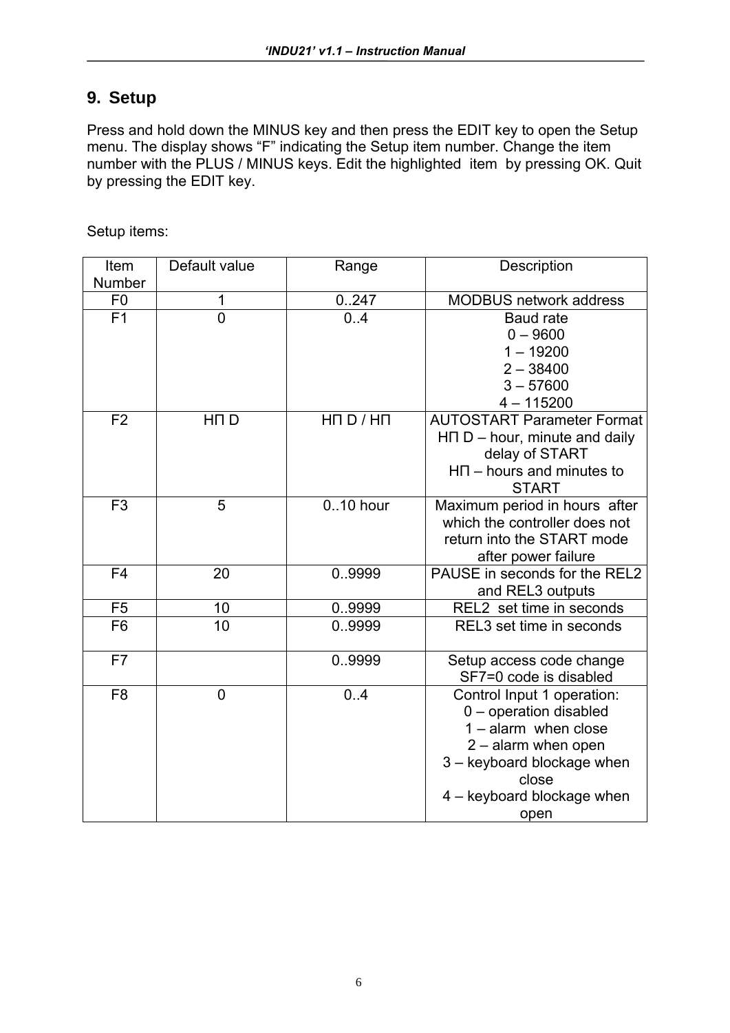### **9. Setup**

Press and hold down the MINUS key and then press the EDIT key to open the Setup menu. The display shows "F" indicating the Setup item number. Change the item number with the PLUS / MINUS keys. Edit the highlighted item by pressing OK. Quit by pressing the EDIT key.

Setup items:

| Item           | Default value   | Range             | Description                       |
|----------------|-----------------|-------------------|-----------------------------------|
| Number         |                 |                   |                                   |
| F <sub>0</sub> | 1               | 0.247             | MODBUS network address            |
| F <sub>1</sub> | $\overline{0}$  | 0.4               | <b>Baud rate</b>                  |
|                |                 |                   | $0 - 9600$                        |
|                |                 |                   | $1 - 19200$                       |
|                |                 |                   | $2 - 38400$                       |
|                |                 |                   | $3 - 57600$                       |
|                |                 |                   | $4 - 115200$                      |
| F <sub>2</sub> | HN <sub>D</sub> | $H \Pi D / H \Pi$ | <b>AUTOSTART Parameter Format</b> |
|                |                 |                   | $HT D - hour$ , minute and daily  |
|                |                 |                   | delay of START                    |
|                |                 |                   | $H \Pi$ – hours and minutes to    |
|                |                 |                   | <b>START</b>                      |
| F <sub>3</sub> | 5               | 010 hour          | Maximum period in hours after     |
|                |                 |                   | which the controller does not     |
|                |                 |                   | return into the START mode        |
|                |                 |                   | after power failure               |
| F <sub>4</sub> | 20              | 0.9999            | PAUSE in seconds for the REL2     |
|                |                 |                   | and REL3 outputs                  |
| F <sub>5</sub> | 10              | 0.9999            | REL2 set time in seconds          |
| F <sub>6</sub> | 10              | 0.9999            | REL3 set time in seconds          |
|                |                 |                   |                                   |
| F7             |                 | 0.9999            | Setup access code change          |
|                |                 |                   | SF7=0 code is disabled            |
| F <sub>8</sub> | $\overline{0}$  | 0.4               | Control Input 1 operation:        |
|                |                 |                   | 0 - operation disabled            |
|                |                 |                   | $1 -$ alarm when close            |
|                |                 |                   | $2 -$ alarm when open             |
|                |                 |                   | 3 - keyboard blockage when        |
|                |                 |                   | close                             |
|                |                 |                   | 4 - keyboard blockage when        |
|                |                 |                   | open                              |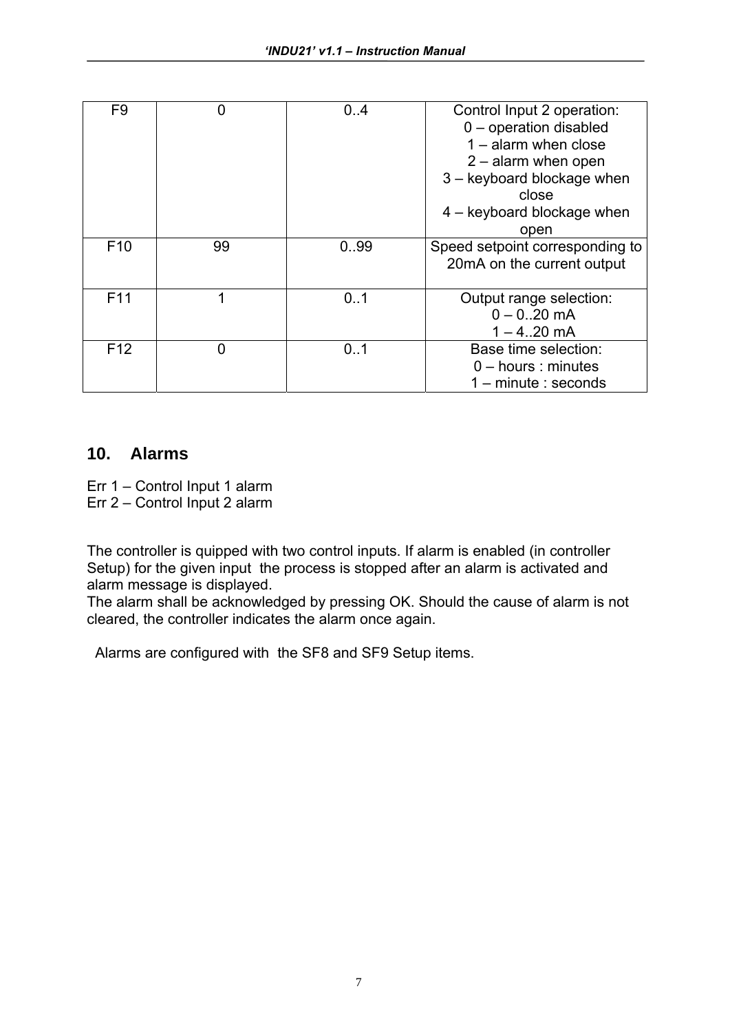| F <sub>9</sub>  | 0  | 0.4  | Control Input 2 operation:<br>0 - operation disabled<br>$1 -$ alarm when close<br>$2 -$ alarm when open<br>3 - keyboard blockage when<br>close<br>$4 -$ keyboard blockage when<br>open |
|-----------------|----|------|----------------------------------------------------------------------------------------------------------------------------------------------------------------------------------------|
| F <sub>10</sub> | 99 | 0.99 | Speed setpoint corresponding to<br>20mA on the current output                                                                                                                          |
| F <sub>11</sub> | 1  | 0.1  | Output range selection:<br>$0 - 0.20$ mA<br>$1 - 4.20$ mA                                                                                                                              |
| F <sub>12</sub> | 0  | 0.1  | Base time selection:<br>$0$ – hours : minutes<br>$1 -$ minute : seconds                                                                                                                |

#### **10. Alarms**

Err 1 – Control Input 1 alarm

Err 2 – Control Input 2 alarm

The controller is quipped with two control inputs. If alarm is enabled (in controller Setup) for the given input the process is stopped after an alarm is activated and alarm message is displayed.

The alarm shall be acknowledged by pressing OK. Should the cause of alarm is not cleared, the controller indicates the alarm once again.

Alarms are configured with the SF8 and SF9 Setup items.